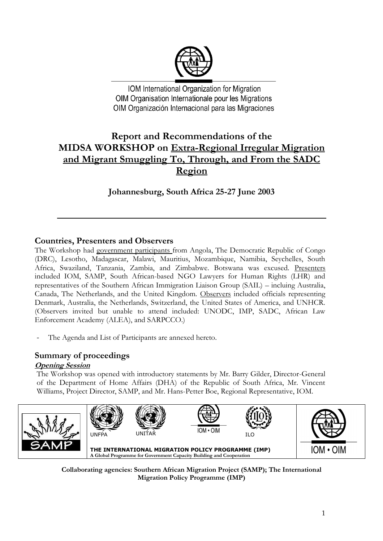

**IOM International Organization for Migration** OIM Organisation Internationale pour les Migrations OIM Organización Internacional para las Migraciones

# **Report and Recommendations of the** MIDSA WORKSHOP on Extra-Regional Irregular Migration and Migrant Smuggling To, Through, and From the SADC Region

Johannesburg, South Africa 25-27 June 2003

## **Countries, Presenters and Observers**

The Workshop had government participants from Angola, The Democratic Republic of Congo (DRC), Lesotho, Madagascar, Malawi, Mauritius, Mozambique, Namibia, Seychelles, South Africa, Swaziland, Tanzania, Zambia, and Zimbabwe. Botswana was excused. Presenters included IOM, SAMP, South African-based NGO Lawyers for Human Rights (LHR) and representatives of the Southern African Immigration Liaison Group (SAIL) – incluing Australia, Canada, The Netherlands, and the United Kingdom. Observers included officials representing Denmark, Australia, the Netherlands, Switzerland, the United States of America, and UNHCR. (Observers invited but unable to attend included: UNODC, IMP, SADC, African Law Enforcement Academy (ALEA), and SARPCCO.)

The Agenda and List of Participants are annexed hereto.

## **Summary of proceedings**

## **Opening Session**

The Workshop was opened with introductory statements by Mr. Barry Gilder, Director-General of the Department of Home Affairs (DHA) of the Republic of South Africa, Mr. Vincent Williams, Project Director, SAMP, and Mr. Hans-Petter Boe, Regional Representative, IOM.



Collaborating agencies: Southern African Migration Project (SAMP); The International **Migration Policy Programme (IMP)**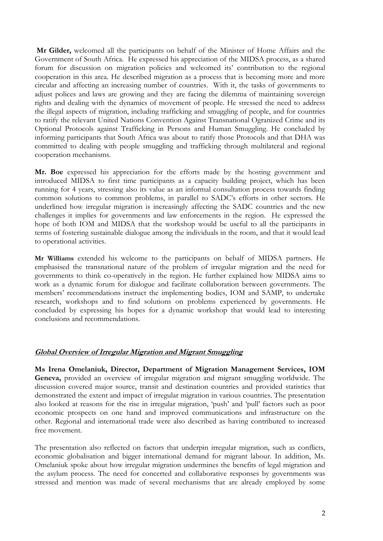Mr Gilder, welcomed all the participants on behalf of the Minister of Home Affairs and the Government of South Africa. He expressed his appreciation of the MIDSA process, as a shared forum for discussion on migration policies and welcomed its' contribution to the regional cooperation in this area. He described migration as a process that is becoming more and more circular and affecting an increasing number of countries. With it, the tasks of governments to adjust polices and laws are growing and they are facing the dilemma of maintaining sovereign rights and dealing with the dynamics of movement of people. He stressed the need to address the illegal aspects of migration, including trafficking and smuggling of people, and for countries to ratify the relevant United Nations Convention Against Transnational Ogranized Crime and its Optional Protocols against Trafficking in Persons and Human Smuggling. He concluded by informing participants that South Africa was about to ratify those Protocols and that DHA was committed to dealing with people smuggling and trafficking through multilateral and regional cooperation mechanisms.

Mr. Boe expressed his appreciation for the efforts made by the hosting government and introduced MIDSA to first time participants as a capacity building project, which has been running for 4 years, stressing also its value as an informal consultation process towards finding common solutions to common problems, in parallel to SADC's efforts in other sectors. He underlined how irregular migration is increasingly affecting the SADC countries and the new challenges it implies for governments and law enforcements in the region. He expressed the hope of both IOM and MIDSA that the workshop would be useful to all the participants in terms of fostering sustainable dialogue among the individuals in the room, and that it would lead to operational activities.

Mr Williams extended his welcome to the participants on behalf of MIDSA partners. He emphasised the transnational nature of the problem of irregular migration and the need for governments to think co-operatively in the region. He further explained how MIDSA aims to work as a dynamic forum for dialogue and facilitate collaboration between governments. The members' recommendations instruct the implementing bodies, IOM and SAMP, to undertake research, workshops and to find solutions on problems experienced by governments. He concluded by expressing his hopes for a dynamic workshop that would lead to interesting conclusions and recommendations.

## **Global Overview of Irregular Migration and Migrant Smuggling**

Ms Irena Omelaniuk, Director, Department of Migration Management Services, IOM Geneva, provided an overview of irregular migration and migrant smuggling worldwide. The discussion covered major source, transit and destination countries and provided statistics that demonstrated the extent and impact of irregular migration in various countries. The presentation also looked at reasons for the rise in irregular migration, 'push' and 'pull' factors such as poor economic prospects on one hand and improved communications and infrastructure on the other. Regional and international trade were also described as having contributed to increased free movement.

The presentation also reflected on factors that underpin irregular migration, such as conflicts, economic globalisation and bigger international demand for migrant labour. In addition, Ms. Omelaniuk spoke about how irregular migration undermines the benefits of legal migration and the asylum process. The need for concerted and collaborative responses by governments was stressed and mention was made of several mechanisms that are already employed by some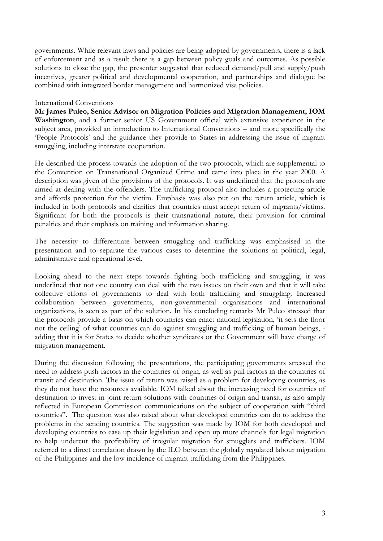governments. While relevant laws and policies are being adopted by governments, there is a lack of enforcement and as a result there is a gap between policy goals and outcomes. As possible solutions to close the gap, the presenter suggested that reduced demand/pull and supply/push incentives, greater political and developmental cooperation, and partnerships and dialogue be combined with integrated border management and harmonized visa policies.

### **International Conventions**

Mr James Puleo, Senior Advisor on Migration Policies and Migration Management, IOM Washington, and a former senior US Government official with extensive experience in the subject area, provided an introduction to International Conventions – and more specifically the 'People Protocols' and the guidance they provide to States in addressing the issue of migrant smuggling, including interstate cooperation.

He described the process towards the adoption of the two protocols, which are supplemental to the Convention on Transnational Organized Crime and came into place in the year 2000. A description was given of the provisions of the protocols. It was underlined that the protocols are aimed at dealing with the offenders. The trafficking protocol also includes a protecting article and affords protection for the victim. Emphasis was also put on the return article, which is included in both protocols and clarifies that countries must accept return of migrants/victims. Significant for both the protocols is their transnational nature, their provision for criminal penalties and their emphasis on training and information sharing.

The necessity to differentiate between smuggling and trafficking was emphasised in the presentation and to separate the various cases to determine the solutions at political, legal, administrative and operational level.

Looking ahead to the next steps towards fighting both trafficking and smuggling, it was underlined that not one country can deal with the two issues on their own and that it will take collective efforts of governments to deal with both trafficking and smuggling. Increased collaboration between governments, non-governmental organisations and international organizations, is seen as part of the solution. In his concluding remarks Mr Puleo stressed that the protocols provide a basis on which countries can enact national legislation, 'it sets the floor not the ceiling' of what countries can do against smuggling and trafficking of human beings, adding that it is for States to decide whether syndicates or the Government will have charge of migration management.

During the discussion following the presentations, the participating governments stressed the need to address push factors in the countries of origin, as well as pull factors in the countries of transit and destination. The issue of return was raised as a problem for developing countries, as they do not have the resources available. IOM talked about the increasing need for countries of destination to invest in joint return solutions with countries of origin and transit, as also amply reflected in European Commission communications on the subject of cooperation with "third countries". The question was also raised about what developed countries can do to address the problems in the sending countries. The suggestion was made by IOM for both developed and developing countries to ease up their legislation and open up more channels for legal migration to help undercut the profitability of irregular migration for smugglers and traffickers. IOM referred to a direct correlation drawn by the ILO between the globally regulated labour migration of the Philippines and the low incidence of migrant trafficking from the Philippines.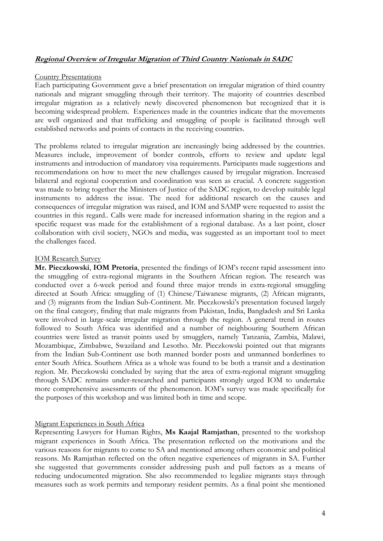## Regional Overview of Irregular Migration of Third Country Nationals in SADC

#### **Country Presentations**

Each participating Government gave a brief presentation on irregular migration of third country nationals and migrant smuggling through their territory. The majority of countries described irregular migration as a relatively newly discovered phenomenon but recognized that it is becoming widespread problem. Experiences made in the countries indicate that the movements are well organized and that trafficking and smuggling of people is facilitated through well established networks and points of contacts in the receiving countries.

The problems related to irregular migration are increasingly being addressed by the countries. Measures include, improvement of border controls, efforts to review and update legal instruments and introduction of mandatory visa requirements. Participants made suggestions and recommendations on how to meet the new challenges caused by irregular migration. Increased bilateral and regional cooperation and coordination was seen as crucial. A concrete suggestion was made to bring together the Ministers of Justice of the SADC region, to develop suitable legal instruments to address the issue. The need for additional research on the causes and consequences of irregular migration was raised, and IOM and SAMP were requested to assist the countries in this regard. Calls were made for increased information sharing in the region and a specific request was made for the establishment of a regional database. As a last point, closer collaboration with civil society, NGOs and media, was suggested as an important tool to meet the challenges faced.

#### **IOM Research Survey**

Mr. Pieczkowski, IOM Pretoria, presented the findings of IOM's recent rapid assessment into the smuggling of extra-regional migrants in the Southern African region. The research was conducted over a 6-week period and found three major trends in extra-regional smuggling directed at South Africa: smuggling of (1) Chinese/Taiwanese migrants, (2) African migrants, and (3) migrants from the Indian Sub-Continent. Mr. Pieczkowski's presentation focused largely on the final category, finding that male migrants from Pakistan, India, Bangladesh and Sri Lanka were involved in large-scale irregular migration through the region. A general trend in routes followed to South Africa was identified and a number of neighbouring Southern African countries were listed as transit points used by smugglers, namely Tanzania, Zambia, Malawi, Mozambique, Zimbabwe, Swaziland and Lesotho. Mr. Pieczkowski pointed out that migrants from the Indian Sub-Continent use both manned border posts and unmanned borderlines to enter South Africa. Southern Africa as a whole was found to be both a transit and a destination region. Mr. Pieczkowski concluded by saying that the area of extra-regional migrant smuggling through SADC remains under-researched and participants strongly urged IOM to undertake more comprehensive assessments of the phenomenon. IOM's survey was made specifically for the purposes of this workshop and was limited both in time and scope.

#### Migrant Experiences in South Africa

Representing Lawyers for Human Rights, Ms Kaajal Ramjathan, presented to the workshop migrant experiences in South Africa. The presentation reflected on the motivations and the various reasons for migrants to come to SA and mentioned among others economic and political reasons. Ms Ramjathan reflected on the often negative experiences of migrants in SA. Further she suggested that governments consider addressing push and pull factors as a means of reducing undocumented migration. She also recommended to legalize migrants stays through measures such as work permits and temporary resident permits. As a final point she mentioned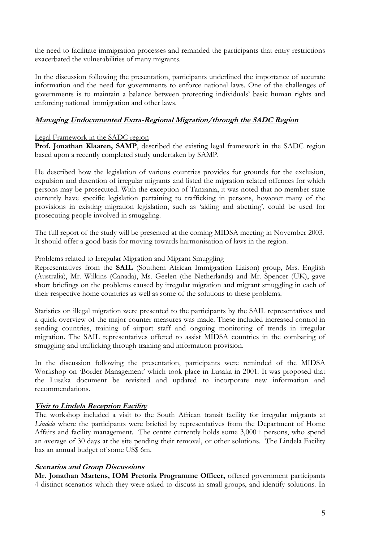the need to facilitate immigration processes and reminded the participants that entry restrictions exacerbated the vulnerabilities of many migrants.

In the discussion following the presentation, participants underlined the importance of accurate information and the need for governments to enforce national laws. One of the challenges of governments is to maintain a balance between protecting individuals' basic human rights and enforcing national immigration and other laws.

## Managing Undocumented Extra-Regional Migration/through the SADC Region

## Legal Framework in the SADC region

Prof. Jonathan Klaaren, SAMP, described the existing legal framework in the SADC region based upon a recently completed study undertaken by SAMP.

He described how the legislation of various countries provides for grounds for the exclusion, expulsion and detention of irregular migrants and listed the migration related offences for which persons may be prosecuted. With the exception of Tanzania, it was noted that no member state currently have specific legislation pertaining to trafficking in persons, however many of the provisions in existing migration legislation, such as 'aiding and abetting', could be used for prosecuting people involved in smuggling.

The full report of the study will be presented at the coming MIDSA meeting in November 2003. It should offer a good basis for moving towards harmonisation of laws in the region.

## Problems related to Irregular Migration and Migrant Smuggling

Representatives from the SAIL (Southern African Immigration Liaison) group, Mrs. English (Australia), Mr. Wilkins (Canada), Ms. Geelen (the Netherlands) and Mr. Spencer (UK), gave short briefings on the problems caused by irregular migration and migrant smuggling in each of their respective home countries as well as some of the solutions to these problems.

Statistics on illegal migration were presented to the participants by the SAIL representatives and a quick overview of the major counter measures was made. These included increased control in sending countries, training of airport staff and ongoing monitoring of trends in irregular migration. The SAIL representatives offered to assist MIDSA countries in the combating of smuggling and trafficking through training and information provision.

In the discussion following the presentation, participants were reminded of the MIDSA Workshop on 'Border Management' which took place in Lusaka in 2001. It was proposed that the Lusaka document be revisited and updated to incorporate new information and recommendations.

## Visit to Lindela Reception Facility

The workshop included a visit to the South African transit facility for irregular migrants at Lindela where the participants were briefed by representatives from the Department of Home Affairs and facility management. The centre currently holds some 3,000+ persons, who spend an average of 30 days at the site pending their removal, or other solutions. The Lindela Facility has an annual budget of some US\$ 6m.

## **Scenarios and Group Discussions**

Mr. Jonathan Martens, IOM Pretoria Programme Officer, offered government participants 4 distinct scenarios which they were asked to discuss in small groups, and identify solutions. In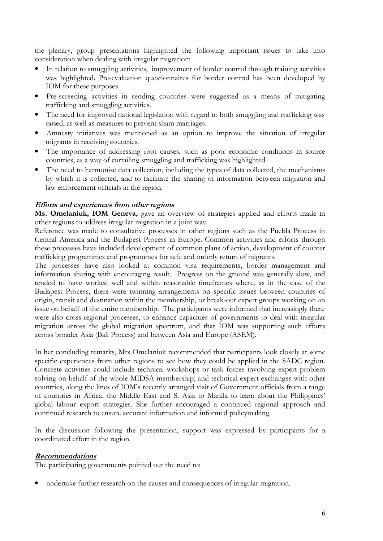the plenary, group presentations highlighted the following important issues to take into consideration when dealing with irregular migration:

- In relation to smuggling activities, improvement of border control through training activities was highlighted. Pre-evaluation questionnaires for border control has been developed by IOM for these purposes.
- Pre-screening activities in sending countries were suggested as a means of mitigating trafficking and smuggling activities.
- The need for improved national legislation with regard to both smuggling and trafficking was raised, as well as measures to prevent sham marriages.
- Amnesty initiatives was mentioned as an option to improve the situation of irregular migrants in receiving countries.
- The importance of addressing root causes, such as poor economic conditions in source countries, as a way of curtailing smuggling and trafficking was highlighted.
- The need to harmonise data collection, including the types of data collected, the mechanisms by which it is collected, and to facilitate the sharing of information between migration and law enforcement officials in the region.

## **Efforts and experiences from other regions**

Ms. Omelaniuk, IOM Geneva, gave an overview of strategies applied and efforts made in other regions to address irregular migration in a joint way.

Reference was made to consultative processes in other regions such as the Puebla Process in Central America and the Budapest Process in Europe. Common activities and efforts through these processes have included development of common plans of action, development of counter trafficking programmes and programmes for safe and orderly return of migrants.

The processes have also looked at common visa requirements, border management and information sharing with encouraging result. Progress on the ground was generally slow, and tended to have worked well and within reasonable timeframes where, as in the case of the Budapest Process, there were twinning arrangements on specific issues between countries of origin, transit and destination within the membership, or break-out expert groups working on an issue on behalf of the entire membership. The participants were informed that increasingly there were also cross-regional processes, to enhance capacities of governments to deal with irregular migration across the global migration spectrum, and that IOM was supporting such efforts across broader Asia (Bali Process) and between Asia and Europe (ASEM).

In her concluding remarks, Mrs Omelaniuk recommended that participants look closely at some specific experiences from other regions to see how they could be applied in the SADC region. Concrete activities could include technical workshops or task forces involving expert problem solving on behalf of the whole MIDSA membership; and technical expert exchanges with other countries, along the lines of IOM's recently arranged visit of Government officials from a range of countries in Africa, the Middle East and S. Asia to Manila to learn about the Philippines' global labour export strategies. She further encouraged a continued regional approach and continued research to ensure accurate information and informed policymaking.

In the discussion following the presentation, support was expressed by participants for a coordinated effort in the region.

#### **Recommendations**

The participating governments pointed out the need to:

undertake further research on the causes and consequences of irregular migration.